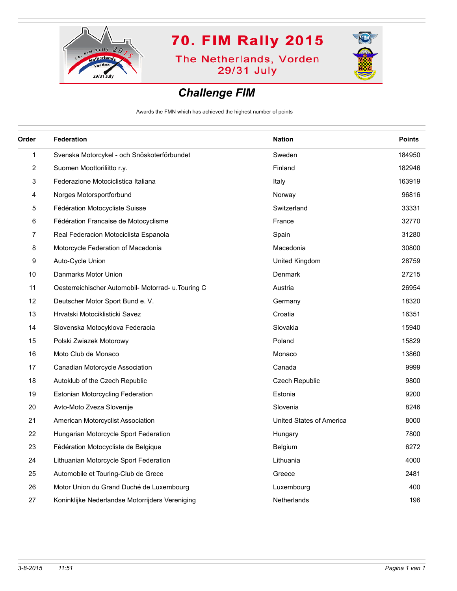

**The Netherlands, Vorden** 29/31 July



#### *Challenge FIM*

Awards the FMN which has achieved the highest number of points

| Order          | Federation                                          | <b>Nation</b>            | <b>Points</b> |
|----------------|-----------------------------------------------------|--------------------------|---------------|
| 1              | Svenska Motorcykel - och Snöskoterförbundet         | Sweden                   | 184950        |
| $\overline{2}$ | Suomen Moottoriliitto r.y.                          | Finland                  | 182946        |
| 3              | Federazione Motociclistica Italiana                 | Italy                    | 163919        |
| 4              | Norges Motorsportforbund                            | Norway                   | 96816         |
| 5              | Fédération Motocycliste Suisse                      | Switzerland              | 33331         |
| 6              | Fédération Francaise de Motocyclisme                | France                   | 32770         |
| 7              | Real Federacion Motociclista Espanola               | Spain                    | 31280         |
| 8              | Motorcycle Federation of Macedonia                  | Macedonia                | 30800         |
| 9              | Auto-Cycle Union                                    | United Kingdom           | 28759         |
| 10             | Danmarks Motor Union                                | Denmark                  | 27215         |
| 11             | Oesterreichischer Automobil- Motorrad- u. Touring C | Austria                  | 26954         |
| 12             | Deutscher Motor Sport Bund e. V.                    | Germany                  | 18320         |
| 13             | Hrvatski Motociklisticki Savez                      | Croatia                  | 16351         |
| 14             | Slovenska Motocyklova Federacia                     | Slovakia                 | 15940         |
| 15             | Polski Zwiazek Motorowy                             | Poland                   | 15829         |
| 16             | Moto Club de Monaco                                 | Monaco                   | 13860         |
| 17             | Canadian Motorcycle Association                     | Canada                   | 9999          |
| 18             | Autoklub of the Czech Republic                      | <b>Czech Republic</b>    | 9800          |
| 19             | <b>Estonian Motorcycling Federation</b>             | Estonia                  | 9200          |
| 20             | Avto-Moto Zveza Slovenije                           | Slovenia                 | 8246          |
| 21             | American Motorcyclist Association                   | United States of America | 8000          |
| 22             | Hungarian Motorcycle Sport Federation               | Hungary                  | 7800          |
| 23             | Fédération Motocycliste de Belgique                 | Belgium                  | 6272          |
| 24             | Lithuanian Motorcycle Sport Federation              | Lithuania                | 4000          |
| 25             | Automobile et Touring-Club de Grece                 | Greece                   | 2481          |
| 26             | Motor Union du Grand Duché de Luxembourg            | Luxembourg               | 400           |
| 27             | Koninklijke Nederlandse Motorrijders Vereniging     | Netherlands              | 196           |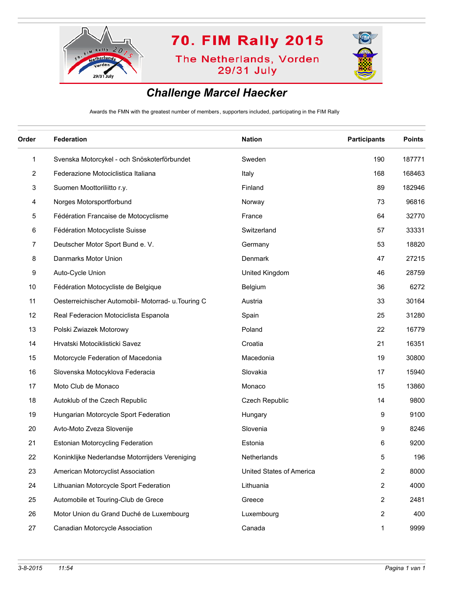

**The Netherlands, Vorden** 29/31 July



### *Challenge Marcel Haecker*

Awards the FMN with the greatest number of members, supporters included, participating in the FIM Rally

| Order        | <b>Federation</b>                                   | <b>Nation</b>            | <b>Participants</b> | <b>Points</b> |
|--------------|-----------------------------------------------------|--------------------------|---------------------|---------------|
| $\mathbf{1}$ | Svenska Motorcykel - och Snöskoterförbundet         | Sweden                   | 190                 | 187771        |
| 2            | Federazione Motociclistica Italiana                 | Italy                    | 168                 | 168463        |
| 3            | Suomen Moottoriliitto r.y.                          | Finland                  | 89                  | 182946        |
| 4            | Norges Motorsportforbund                            | Norway                   | 73                  | 96816         |
| 5            | Fédération Francaise de Motocyclisme                | France                   | 64                  | 32770         |
| 6            | Fédération Motocycliste Suisse                      | Switzerland              | 57                  | 33331         |
| 7            | Deutscher Motor Sport Bund e. V.                    | Germany                  | 53                  | 18820         |
| 8            | Danmarks Motor Union                                | Denmark                  | 47                  | 27215         |
| 9            | Auto-Cycle Union                                    | United Kingdom           | 46                  | 28759         |
| 10           | Fédération Motocycliste de Belgique                 | Belgium                  | 36                  | 6272          |
| 11           | Oesterreichischer Automobil- Motorrad- u. Touring C | Austria                  | 33                  | 30164         |
| 12           | Real Federacion Motociclista Espanola               | Spain                    | 25                  | 31280         |
| 13           | Polski Zwiazek Motorowy                             | Poland                   | 22                  | 16779         |
| 14           | Hrvatski Motociklisticki Savez                      | Croatia                  | 21                  | 16351         |
| 15           | Motorcycle Federation of Macedonia                  | Macedonia                | 19                  | 30800         |
| 16           | Slovenska Motocyklova Federacia                     | Slovakia                 | 17                  | 15940         |
| 17           | Moto Club de Monaco                                 | Monaco                   | 15                  | 13860         |
| 18           | Autoklub of the Czech Republic                      | Czech Republic           | 14                  | 9800          |
| 19           | Hungarian Motorcycle Sport Federation               | Hungary                  | 9                   | 9100          |
| 20           | Avto-Moto Zveza Slovenije                           | Slovenia                 | 9                   | 8246          |
| 21           | <b>Estonian Motorcycling Federation</b>             | Estonia                  | 6                   | 9200          |
| 22           | Koninklijke Nederlandse Motorrijders Vereniging     | Netherlands              | 5                   | 196           |
| 23           | American Motorcyclist Association                   | United States of America | $\overline{2}$      | 8000          |
| 24           | Lithuanian Motorcycle Sport Federation              | Lithuania                | $\overline{2}$      | 4000          |
| 25           | Automobile et Touring-Club de Grece                 | Greece                   | 2                   | 2481          |
| 26           | Motor Union du Grand Duché de Luxembourg            | Luxembourg               | 2                   | 400           |
| 27           | Canadian Motorcycle Association                     | Canada                   | 1                   | 9999          |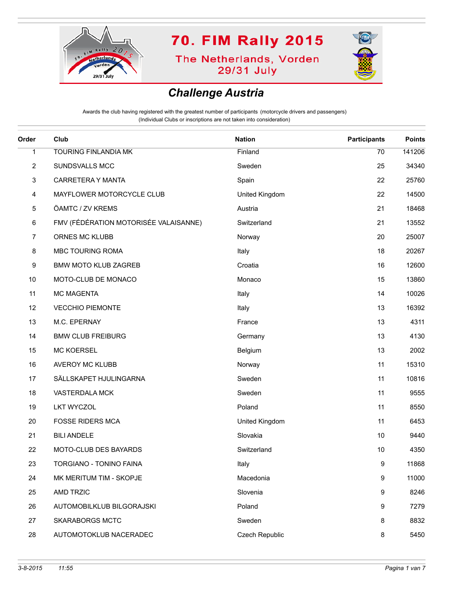

**The Netherlands, Vorden** 29/31 July



### *Challenge Austria*

| Order          | Club                                  | <b>Nation</b>  | <b>Participants</b> | <b>Points</b> |
|----------------|---------------------------------------|----------------|---------------------|---------------|
| 1              | <b>TOURING FINLANDIA MK</b>           | Finland        | 70                  | 141206        |
| $\overline{2}$ | SUNDSVALLS MCC                        | Sweden         | 25                  | 34340         |
| 3              | CARRETERA Y MANTA                     | Spain          | 22                  | 25760         |
| 4              | MAYFLOWER MOTORCYCLE CLUB             | United Kingdom | 22                  | 14500         |
| 5              | ÖAMTC / ZV KREMS                      | Austria        | 21                  | 18468         |
| 6              | FMV (FÉDÉRATION MOTORISÉE VALAISANNE) | Switzerland    | 21                  | 13552         |
| 7              | ORNES MC KLUBB                        | Norway         | 20                  | 25007         |
| 8              | MBC TOURING ROMA                      | Italy          | 18                  | 20267         |
| 9              | <b>BMW MOTO KLUB ZAGREB</b>           | Croatia        | 16                  | 12600         |
| 10             | MOTO-CLUB DE MONACO                   | Monaco         | 15                  | 13860         |
| 11             | MC MAGENTA                            | Italy          | 14                  | 10026         |
| 12             | <b>VECCHIO PIEMONTE</b>               | Italy          | 13                  | 16392         |
| 13             | M.C. EPERNAY                          | France         | 13                  | 4311          |
| 14             | <b>BMW CLUB FREIBURG</b>              | Germany        | 13                  | 4130          |
| 15             | <b>MC KOERSEL</b>                     | Belgium        | 13                  | 2002          |
| 16             | AVEROY MC KLUBB                       | Norway         | 11                  | 15310         |
| 17             | SÄLLSKAPET HJULINGARNA                | Sweden         | 11                  | 10816         |
| 18             | VASTERDALA MCK                        | Sweden         | 11                  | 9555          |
| 19             | <b>LKT WYCZOL</b>                     | Poland         | 11                  | 8550          |
| 20             | <b>FOSSE RIDERS MCA</b>               | United Kingdom | 11                  | 6453          |
| 21             | <b>BILI ANDELE</b>                    | Slovakia       | 10                  | 9440          |
| 22             | MOTO-CLUB DES BAYARDS                 | Switzerland    | 10                  | 4350          |
| 23             | TORGIANO - TONINO FAINA               | Italy          | 9                   | 11868         |
| 24             | MK MERITUM TIM - SKOPJE               | Macedonia      | 9                   | 11000         |
| 25             | <b>AMD TRZIC</b>                      | Slovenia       | 9                   | 8246          |
| 26             | AUTOMOBILKLUB BILGORAJSKI             | Poland         | 9                   | 7279          |
| 27             | <b>SKARABORGS MCTC</b>                | Sweden         | 8                   | 8832          |
| 28             | AUTOMOTOKLUB NACERADEC                | Czech Republic | 8                   | 5450          |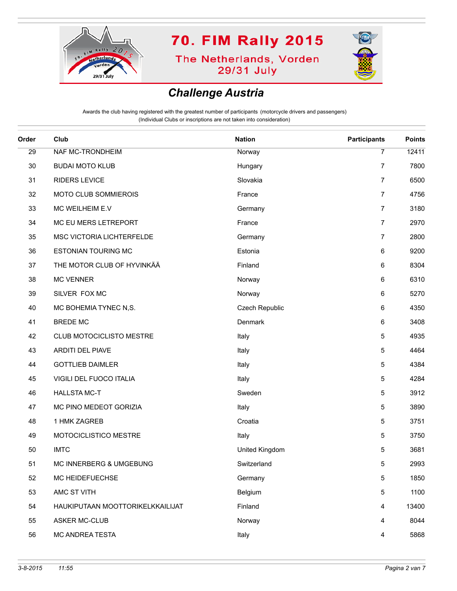

**The Netherlands, Vorden** 29/31 July



#### *Challenge Austria*

| Order | Club                             | <b>Nation</b>  | <b>Participants</b> | <b>Points</b> |
|-------|----------------------------------|----------------|---------------------|---------------|
| 29    | NAF MC-TRONDHEIM                 | Norway         | $\overline{7}$      | 12411         |
| 30    | <b>BUDAI MOTO KLUB</b>           | Hungary        | 7                   | 7800          |
| 31    | <b>RIDERS LEVICE</b>             | Slovakia       | $\overline{7}$      | 6500          |
| 32    | MOTO CLUB SOMMIEROIS             | France         | $\overline{7}$      | 4756          |
| 33    | MC WEILHEIM E.V                  | Germany        | $\overline{7}$      | 3180          |
| 34    | MC EU MERS LETREPORT             | France         | 7                   | 2970          |
| 35    | MSC VICTORIA LICHTERFELDE        | Germany        | 7                   | 2800          |
| 36    | <b>ESTONIAN TOURING MC</b>       | Estonia        | 6                   | 9200          |
| 37    | THE MOTOR CLUB OF HYVINKÄÄ       | Finland        | 6                   | 8304          |
| 38    | <b>MC VENNER</b>                 | Norway         | 6                   | 6310          |
| 39    | SILVER FOX MC                    | Norway         | 6                   | 5270          |
| 40    | MC BOHEMIA TYNEC N,S.            | Czech Republic | 6                   | 4350          |
| 41    | <b>BREDE MC</b>                  | Denmark        | 6                   | 3408          |
| 42    | CLUB MOTOCICLISTO MESTRE         | Italy          | 5                   | 4935          |
| 43    | ARDITI DEL PIAVE                 | Italy          | 5                   | 4464          |
| 44    | <b>GOTTLIEB DAIMLER</b>          | Italy          | 5                   | 4384          |
| 45    | VIGILI DEL FUOCO ITALIA          | Italy          | 5                   | 4284          |
| 46    | <b>HALLSTA MC-T</b>              | Sweden         | 5                   | 3912          |
| 47    | MC PINO MEDEOT GORIZIA           | Italy          | 5                   | 3890          |
| 48    | 1 HMK ZAGREB                     | Croatia        | 5                   | 3751          |
| 49    | MOTOCICLISTICO MESTRE            | Italy          | 5                   | 3750          |
| 50    | <b>IMTC</b>                      | United Kingdom | 5                   | 3681          |
| 51    | MC INNERBERG & UMGEBUNG          | Switzerland    | 5                   | 2993          |
| 52    | MC HEIDEFUECHSE                  | Germany        | 5                   | 1850          |
| 53    | AMC ST VITH                      | Belgium        | 5                   | 1100          |
| 54    | HAUKIPUTAAN MOOTTORIKELKKAILIJAT | Finland        | 4                   | 13400         |
| 55    | <b>ASKER MC-CLUB</b>             | Norway         | 4                   | 8044          |
| 56    | MC ANDREA TESTA                  | Italy          | 4                   | 5868          |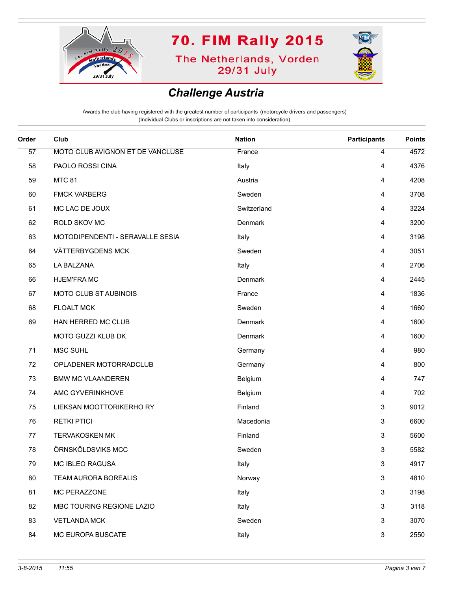

**The Netherlands, Vorden** 29/31 July



#### *Challenge Austria*

| Order | Club                             | <b>Nation</b> | <b>Participants</b> | <b>Points</b> |
|-------|----------------------------------|---------------|---------------------|---------------|
| 57    | MOTO CLUB AVIGNON ET DE VANCLUSE | France        | $\overline{4}$      | 4572          |
| 58    | PAOLO ROSSI CINA                 | Italy         | 4                   | 4376          |
| 59    | <b>MTC 81</b>                    | Austria       | 4                   | 4208          |
| 60    | <b>FMCK VARBERG</b>              | Sweden        | 4                   | 3708          |
| 61    | MC LAC DE JOUX                   | Switzerland   | 4                   | 3224          |
| 62    | ROLD SKOV MC                     | Denmark       | 4                   | 3200          |
| 63    | MOTODIPENDENTI - SERAVALLE SESIA | Italy         | 4                   | 3198          |
| 64    | VÄTTERBYGDENS MCK                | Sweden        | 4                   | 3051          |
| 65    | LA BALZANA                       | Italy         | 4                   | 2706          |
| 66    | <b>HJEM'FRAMC</b>                | Denmark       | 4                   | 2445          |
| 67    | MOTO CLUB ST AUBINOIS            | France        | 4                   | 1836          |
| 68    | <b>FLOALT MCK</b>                | Sweden        | 4                   | 1660          |
| 69    | HAN HERRED MC CLUB               | Denmark       | 4                   | 1600          |
|       | MOTO GUZZI KLUB DK               | Denmark       | 4                   | 1600          |
| 71    | MSC SUHL                         | Germany       | 4                   | 980           |
| 72    | OPLADENER MOTORRADCLUB           | Germany       | 4                   | 800           |
| 73    | <b>BMW MC VLAANDEREN</b>         | Belgium       | 4                   | 747           |
| 74    | AMC GYVERINKHOVE                 | Belgium       | 4                   | 702           |
| 75    | LIEKSAN MOOTTORIKERHO RY         | Finland       | 3                   | 9012          |
| 76    | <b>RETKI PTICI</b>               | Macedonia     | 3                   | 6600          |
| 77    | <b>TERVAKOSKEN MK</b>            | Finland       | 3                   | 5600          |
| 78    | ÖRNSKÖLDSVIKS MCC                | Sweden        | 3                   | 5582          |
| 79    | MC IBLEO RAGUSA                  | Italy         | 3                   | 4917          |
| 80    | TEAM AURORA BOREALIS             | Norway        | $\mathbf{3}$        | 4810          |
| 81    | MC PERAZZONE                     | Italy         | 3                   | 3198          |
| 82    | MBC TOURING REGIONE LAZIO        | Italy         | 3                   | 3118          |
| 83    | <b>VETLANDA MCK</b>              | Sweden        | 3                   | 3070          |
| 84    | MC EUROPA BUSCATE                | Italy         | 3                   | 2550          |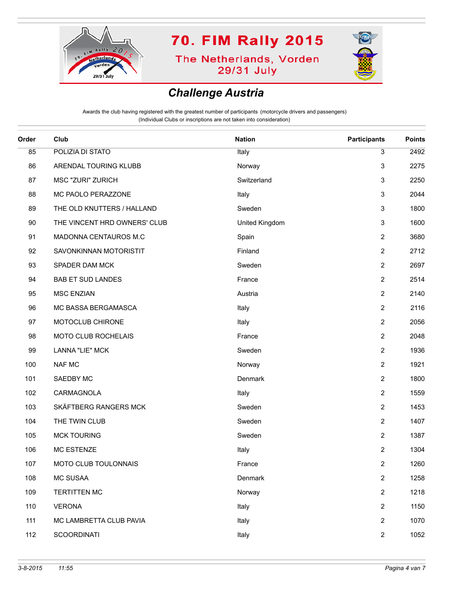

**The Netherlands, Vorden** 29/31 July



#### *Challenge Austria*

| Order | Club                         | <b>Nation</b>  | <b>Participants</b> | <b>Points</b> |
|-------|------------------------------|----------------|---------------------|---------------|
| 85    | POLIZIA DI STATO             | Italy          | 3                   | 2492          |
| 86    | ARENDAL TOURING KLUBB        | Norway         | $\mathbf{3}$        | 2275          |
| 87    | MSC "ZURI" ZURICH            | Switzerland    | 3                   | 2250          |
| 88    | MC PAOLO PERAZZONE           | Italy          | 3                   | 2044          |
| 89    | THE OLD KNUTTERS / HALLAND   | Sweden         | $\mathbf{3}$        | 1800          |
| 90    | THE VINCENT HRD OWNERS' CLUB | United Kingdom | $\mathsf 3$         | 1600          |
| 91    | MADONNA CENTAUROS M.C        | Spain          | $\overline{2}$      | 3680          |
| 92    | SAVONKINNAN MOTORISTIT       | Finland        | $\overline{2}$      | 2712          |
| 93    | SPADER DAM MCK               | Sweden         | $\overline{2}$      | 2697          |
| 94    | <b>BAB ET SUD LANDES</b>     | France         | $\mathbf{2}$        | 2514          |
| 95    | <b>MSC ENZIAN</b>            | Austria        | $\overline{2}$      | 2140          |
| 96    | MC BASSA BERGAMASCA          | Italy          | $\overline{2}$      | 2116          |
| 97    | MOTOCLUB CHIRONE             | Italy          | $\mathbf{2}$        | 2056          |
| 98    | MOTO CLUB ROCHELAIS          | France         | $\mathbf{2}$        | 2048          |
| 99    | LANNA "LIE" MCK              | Sweden         | $\mathbf{2}$        | 1936          |
| 100   | <b>NAF MC</b>                | Norway         | $\mathbf{2}$        | 1921          |
| 101   | SAEDBY MC                    | Denmark        | $\mathbf{2}$        | 1800          |
| 102   | CARMAGNOLA                   | Italy          | $\overline{2}$      | 1559          |
| 103   | SKÄFTBERG RANGERS MCK        | Sweden         | $\mathbf{2}$        | 1453          |
| 104   | THE TWIN CLUB                | Sweden         | $\overline{2}$      | 1407          |
| 105   | <b>MCK TOURING</b>           | Sweden         | $\mathbf{2}$        | 1387          |
| 106   | <b>MC ESTENZE</b>            | Italy          | $\mathbf{2}$        | 1304          |
| 107   | MOTO CLUB TOULONNAIS         | France         | $\mathbf{2}$        | 1260          |
| 108   | MC SUSAA                     | Denmark        | $\overline{2}$      | 1258          |
| 109   | <b>TERTITTEN MC</b>          | Norway         | $\overline{2}$      | 1218          |
| 110   | <b>VERONA</b>                | Italy          | $\overline{2}$      | 1150          |
| 111   | MC LAMBRETTA CLUB PAVIA      | Italy          | $\mathbf{2}$        | 1070          |
| 112   | <b>SCOORDINATI</b>           | Italy          | $\overline{2}$      | 1052          |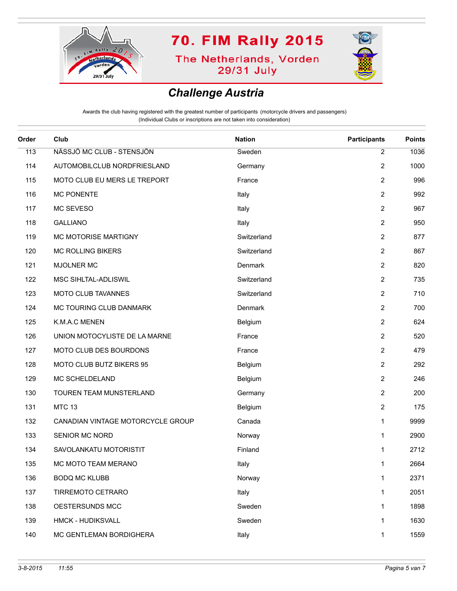

**The Netherlands, Vorden** 29/31 July



#### *Challenge Austria*

| Order | Club                              | <b>Nation</b> | <b>Participants</b> | <b>Points</b> |
|-------|-----------------------------------|---------------|---------------------|---------------|
| 113   | NÄSSJÖ MC CLUB - STENSJÖN         | Sweden        | 2                   | 1036          |
| 114   | AUTOMOBILCLUB NORDFRIESLAND       | Germany       | 2                   | 1000          |
| 115   | MOTO CLUB EU MERS LE TREPORT      | France        | $\overline{2}$      | 996           |
| 116   | <b>MC PONENTE</b>                 | Italy         | 2                   | 992           |
| 117   | MC SEVESO                         | Italy         | $\overline{2}$      | 967           |
| 118   | <b>GALLIANO</b>                   | Italy         | $\overline{2}$      | 950           |
| 119   | MC MOTORISE MARTIGNY              | Switzerland   | 2                   | 877           |
| 120   | <b>MC ROLLING BIKERS</b>          | Switzerland   | $\overline{2}$      | 867           |
| 121   | MJOLNER MC                        | Denmark       | $\overline{2}$      | 820           |
| 122   | MSC SIHLTAL-ADLISWIL              | Switzerland   | 2                   | 735           |
| 123   | MOTO CLUB TAVANNES                | Switzerland   | $\overline{2}$      | 710           |
| 124   | MC TOURING CLUB DANMARK           | Denmark       | $\overline{2}$      | 700           |
| 125   | K.M.A.C MENEN                     | Belgium       | 2                   | 624           |
| 126   | UNION MOTOCYLISTE DE LA MARNE     | France        | $\overline{2}$      | 520           |
| 127   | MOTO CLUB DES BOURDONS            | France        | $\overline{2}$      | 479           |
| 128   | MOTO CLUB BUTZ BIKERS 95          | Belgium       | 2                   | 292           |
| 129   | MC SCHELDELAND                    | Belgium       | $\overline{2}$      | 246           |
| 130   | TOUREN TEAM MUNSTERLAND           | Germany       | $\overline{2}$      | 200           |
| 131   | <b>MTC 13</b>                     | Belgium       | 2                   | 175           |
| 132   | CANADIAN VINTAGE MOTORCYCLE GROUP | Canada        | $\mathbf{1}$        | 9999          |
| 133   | SENIOR MC NORD                    | Norway        | $\mathbf{1}$        | 2900          |
| 134   | SAVOLANKATU MOTORISTIT            | Finland       | 1                   | 2712          |
| 135   | MC MOTO TEAM MERANO               | Italy         | 1                   | 2664          |
| 136   | <b>BODQ MC KLUBB</b>              | Norway        | 1                   | 2371          |
| 137   | TIRREMOTO CETRARO                 | Italy         | $\mathbf{1}$        | 2051          |
| 138   | OESTERSUNDS MCC                   | Sweden        | $\mathbf{1}$        | 1898          |
| 139   | HMCK - HUDIKSVALL                 | Sweden        | $\mathbf{1}$        | 1630          |
| 140   | MC GENTLEMAN BORDIGHERA           | Italy         | 1                   | 1559          |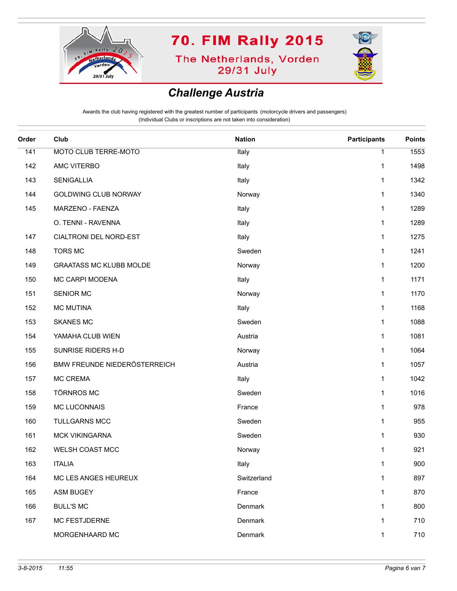

**The Netherlands, Vorden** 29/31 July



#### *Challenge Austria*

| Order | Club                           | <b>Nation</b> | <b>Participants</b> | <b>Points</b> |
|-------|--------------------------------|---------------|---------------------|---------------|
| 141   | MOTO CLUB TERRE-MOTO           | Italy         | $\mathbf{1}$        | 1553          |
| 142   | AMC VITERBO                    | Italy         | 1                   | 1498          |
| 143   | <b>SENIGALLIA</b>              | Italy         | 1                   | 1342          |
| 144   | <b>GOLDWING CLUB NORWAY</b>    | Norway        | 1                   | 1340          |
| 145   | MARZENO - FAENZA               | Italy         | 1                   | 1289          |
|       | O. TENNI - RAVENNA             | Italy         | 1                   | 1289          |
| 147   | CIALTRONI DEL NORD-EST         | Italy         | 1                   | 1275          |
| 148   | <b>TORS MC</b>                 | Sweden        | 1                   | 1241          |
| 149   | <b>GRAATASS MC KLUBB MOLDE</b> | Norway        | 1                   | 1200          |
| 150   | MC CARPI MODENA                | Italy         | 1                   | 1171          |
| 151   | <b>SENIOR MC</b>               | Norway        | 1                   | 1170          |
| 152   | <b>MC MUTINA</b>               | Italy         | 1                   | 1168          |
| 153   | <b>SKANES MC</b>               | Sweden        | 1                   | 1088          |
| 154   | YAMAHA CLUB WIEN               | Austria       | 1                   | 1081          |
| 155   | SUNRISE RIDERS H-D             | Norway        | 1                   | 1064          |
| 156   | BMW FREUNDE NIEDERÖSTERREICH   | Austria       | $\mathbf{1}$        | 1057          |
| 157   | <b>MC CREMA</b>                | Italy         | 1                   | 1042          |
| 158   | <b>TÖRNROS MC</b>              | Sweden        | 1                   | 1016          |
| 159   | MC LUCONNAIS                   | France        | 1                   | 978           |
| 160   | <b>TULLGARNS MCC</b>           | Sweden        | 1                   | 955           |
| 161   | MCK VIKINGARNA                 | Sweden        | 1                   | 930           |
| 162   | WELSH COAST MCC                | Norway        | 1                   | 921           |
| 163   | <b>ITALIA</b>                  | Italy         | $\mathbf{1}$        | 900           |
| 164   | MC LES ANGES HEUREUX           | Switzerland   | 1                   | 897           |
| 165   | <b>ASM BUGEY</b>               | France        | 1                   | 870           |
| 166   | <b>BULL'S MC</b>               | Denmark       | 1                   | 800           |
| 167   | MC FESTJDERNE                  | Denmark       | 1                   | 710           |
|       | MORGENHAARD MC                 | Denmark       | 1                   | 710           |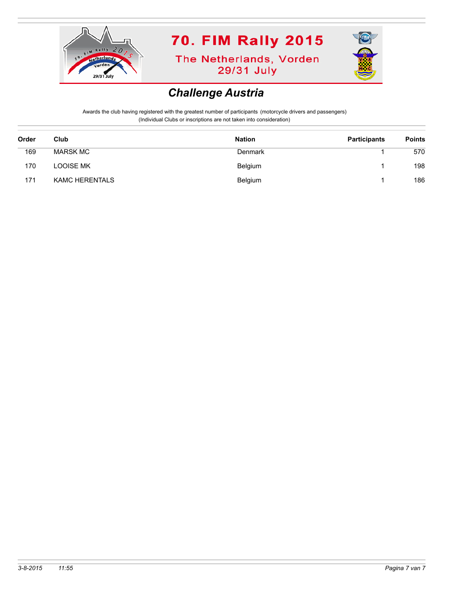

**The Netherlands, Vorden** 29/31 July



#### *Challenge Austria*

| Order | Club                  | <b>Nation</b> | <b>Participants</b> | <b>Points</b> |
|-------|-----------------------|---------------|---------------------|---------------|
| 169   | <b>MARSK MC</b>       | Denmark       |                     | 570           |
| 170   | <b>LOOISE MK</b>      | Belgium       |                     | 198           |
| 171   | <b>KAMC HERENTALS</b> | Belgium       |                     | 186           |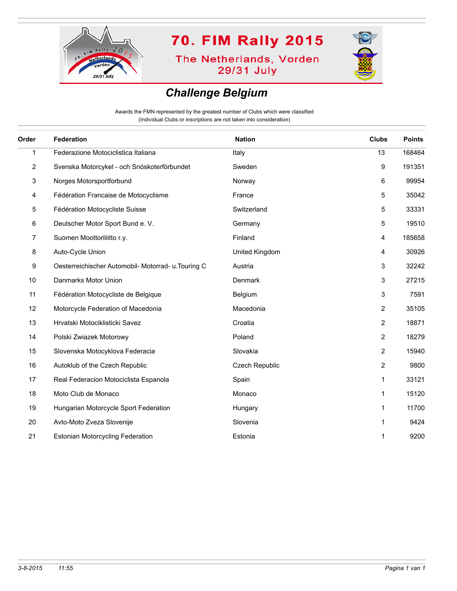

**The Netherlands, Vorden** 29/31 July



### *Challenge Belgium*

Awards the FMN represented by the greatest number of Clubs which were classified (Individual Clubs or inscriptions are not taken into consideration)

| Order | <b>Federation</b>                                   | <b>Nation</b>  | <b>Clubs</b>   | <b>Points</b> |
|-------|-----------------------------------------------------|----------------|----------------|---------------|
| 1     | Federazione Motociclistica Italiana                 | Italy          | 13             | 168464        |
| 2     | Svenska Motorcykel - och Snöskoterförbundet         | Sweden         | 9              | 191351        |
| 3     | Norges Motorsportforbund                            | Norway         | 6              | 99954         |
| 4     | Fédération Francaise de Motocyclisme                | France         | 5              | 35042         |
| 5     | Fédération Motocycliste Suisse                      | Switzerland    | 5              | 33331         |
| 6     | Deutscher Motor Sport Bund e. V.                    | Germany        | 5              | 19510         |
| 7     | Suomen Moottoriliitto r.y.                          | Finland        | 4              | 185658        |
| 8     | Auto-Cycle Union                                    | United Kingdom | 4              | 30926         |
| 9     | Oesterreichischer Automobil- Motorrad- u. Touring C | Austria        | 3              | 32242         |
| 10    | Danmarks Motor Union                                | Denmark        | 3              | 27215         |
| 11    | Fédération Motocycliste de Belgique                 | Belgium        | 3              | 7591          |
| 12    | Motorcycle Federation of Macedonia                  | Macedonia      | $\overline{c}$ | 35105         |
| 13    | Hrvatski Motociklisticki Savez                      | Croatia        | $\overline{2}$ | 18871         |
| 14    | Polski Zwiazek Motorowy                             | Poland         | $\overline{2}$ | 18279         |
| 15    | Slovenska Motocyklova Federacia                     | Slovakia       | $\overline{2}$ | 15940         |
| 16    | Autoklub of the Czech Republic                      | Czech Republic | $\overline{2}$ | 9800          |
| 17    | Real Federacion Motociclista Espanola               | Spain          | 1              | 33121         |
| 18    | Moto Club de Monaco                                 | Monaco         | 1              | 15120         |
| 19    | Hungarian Motorcycle Sport Federation               | Hungary        | 1              | 11700         |
| 20    | Avto-Moto Zveza Slovenije                           | Slovenia       | 1              | 9424          |
| 21    | <b>Estonian Motorcycling Federation</b>             | Estonia        | 1              | 9200          |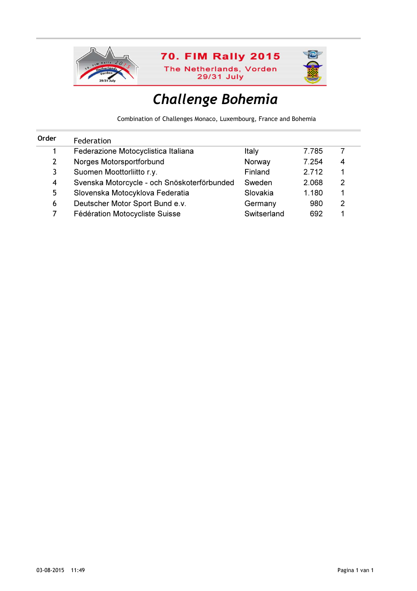

# Challenge Bohemia

Combination of Challenges Monaco, Luxembourg, France and Bohemia

| Order | Federation                                  |             |       |   |  |
|-------|---------------------------------------------|-------------|-------|---|--|
|       | Federazione Motocyclistica Italiana         | Italy       | 7.785 |   |  |
| 2     | Norges Motorsportforbund                    | Norway      | 7.254 | 4 |  |
| 3.    | Suomen Moottorliitto r.y.                   | Finland     | 2.712 |   |  |
| 4     | Svenska Motorcycle - och Snöskoterförbunded | Sweden      | 2.068 | 2 |  |
| 5.    | Slovenska Motocyklova Federatia             | Slovakia    | 1.180 |   |  |
| 6     | Deutscher Motor Sport Bund e.v.             | Germany     | 980   | 2 |  |
|       | Fédération Motocycliste Suisse              | Switserland | 692   |   |  |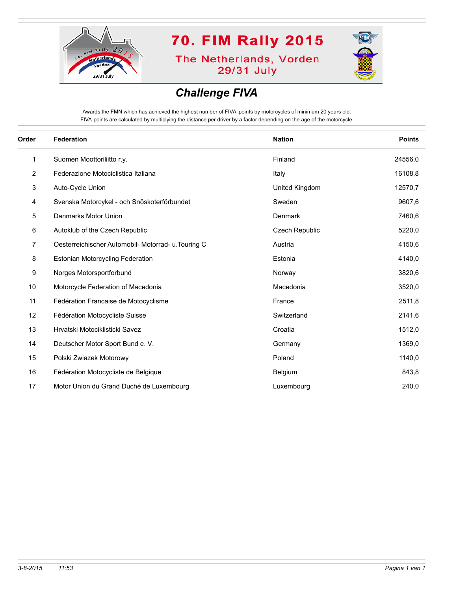

**The Netherlands, Vorden** 29/31 July



### *Challenge FIVA*

Awards the FMN which has achieved the highest number of FIVA-points by motorcycles of minimum 20 years old. FIVA-points are calculated by multiplying the distance per driver by a factor depending on the age of the motorcycle

| Order          | <b>Federation</b>                                   | <b>Nation</b>         | <b>Points</b> |
|----------------|-----------------------------------------------------|-----------------------|---------------|
| 1              | Suomen Moottoriliitto r.y.                          | Finland               | 24556,0       |
| $\overline{2}$ | Federazione Motociclistica Italiana                 | Italy                 | 16108,8       |
| 3              | Auto-Cycle Union                                    | United Kingdom        | 12570,7       |
| 4              | Svenska Motorcykel - och Snöskoterförbundet         | Sweden                | 9607,6        |
| 5              | Danmarks Motor Union                                | Denmark               | 7460,6        |
| 6              | Autoklub of the Czech Republic                      | <b>Czech Republic</b> | 5220,0        |
| 7              | Oesterreichischer Automobil- Motorrad- u. Touring C | Austria               | 4150,6        |
| 8              | <b>Estonian Motorcycling Federation</b>             | Estonia               | 4140,0        |
| 9              | Norges Motorsportforbund                            | Norway                | 3820,6        |
| 10             | Motorcycle Federation of Macedonia                  | Macedonia             | 3520,0        |
| 11             | Fédération Francaise de Motocyclisme                | France                | 2511,8        |
| 12             | Fédération Motocycliste Suisse                      | Switzerland           | 2141,6        |
| 13             | Hrvatski Motociklisticki Savez                      | Croatia               | 1512,0        |
| 14             | Deutscher Motor Sport Bund e. V.                    | Germany               | 1369,0        |
| 15             | Polski Zwiazek Motorowy                             | Poland                | 1140,0        |
| 16             | Fédération Motocycliste de Belgique                 | Belgium               | 843,8         |
| 17             | Motor Union du Grand Duché de Luxembourg            | Luxembourg            | 240,0         |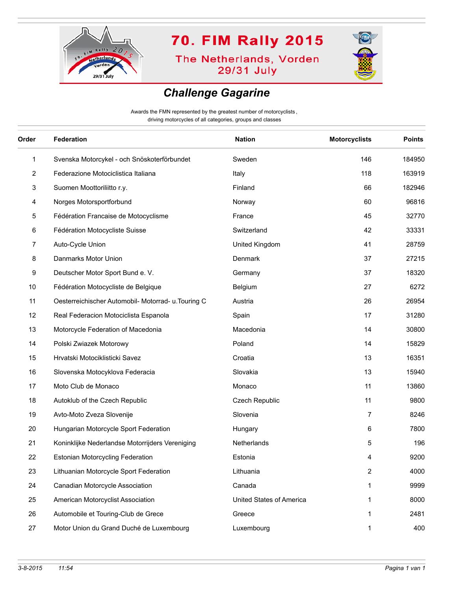

**The Netherlands, Vorden** 29/31 July



#### *Challenge Gagarine*

Awards the FMN represented by the greatest number of motorcyclists , driving motorcycles of all categories, groups and classes

| Order        | <b>Federation</b>                                   | <b>Nation</b>            | <b>Motorcyclists</b> | <b>Points</b> |
|--------------|-----------------------------------------------------|--------------------------|----------------------|---------------|
| $\mathbf{1}$ | Svenska Motorcykel - och Snöskoterförbundet         | Sweden                   | 146                  | 184950        |
| 2            | Federazione Motociclistica Italiana                 | Italy                    | 118                  | 163919        |
| 3            | Suomen Moottoriliitto r.y.                          | Finland                  | 66                   | 182946        |
| 4            | Norges Motorsportforbund                            | Norway                   | 60                   | 96816         |
| 5            | Fédération Francaise de Motocyclisme                | France                   | 45                   | 32770         |
| 6            | Fédération Motocycliste Suisse                      | Switzerland              | 42                   | 33331         |
| 7            | Auto-Cycle Union                                    | United Kingdom           | 41                   | 28759         |
| 8            | Danmarks Motor Union                                | Denmark                  | 37                   | 27215         |
| 9            | Deutscher Motor Sport Bund e. V.                    | Germany                  | 37                   | 18320         |
| 10           | Fédération Motocycliste de Belgique                 | Belgium                  | 27                   | 6272          |
| 11           | Oesterreichischer Automobil- Motorrad- u. Touring C | Austria                  | 26                   | 26954         |
| 12           | Real Federacion Motociclista Espanola               | Spain                    | 17                   | 31280         |
| 13           | Motorcycle Federation of Macedonia                  | Macedonia                | 14                   | 30800         |
| 14           | Polski Zwiazek Motorowy                             | Poland                   | 14                   | 15829         |
| 15           | Hrvatski Motociklisticki Savez                      | Croatia                  | 13                   | 16351         |
| 16           | Slovenska Motocyklova Federacia                     | Slovakia                 | 13                   | 15940         |
| 17           | Moto Club de Monaco                                 | Monaco                   | 11                   | 13860         |
| 18           | Autoklub of the Czech Republic                      | Czech Republic           | 11                   | 9800          |
| 19           | Avto-Moto Zveza Slovenije                           | Slovenia                 | 7                    | 8246          |
| 20           | Hungarian Motorcycle Sport Federation               | Hungary                  | 6                    | 7800          |
| 21           | Koninklijke Nederlandse Motorrijders Vereniging     | Netherlands              | 5                    | 196           |
| 22           | Estonian Motorcycling Federation                    | Estonia                  | 4                    | 9200          |
| 23           | Lithuanian Motorcycle Sport Federation              | Lithuania                | 2                    | 4000          |
| 24           | Canadian Motorcycle Association                     | Canada                   | 1                    | 9999          |
| 25           | American Motorcyclist Association                   | United States of America | 1                    | 8000          |
| 26           | Automobile et Touring-Club de Grece                 | Greece                   | 1                    | 2481          |
| 27           | Motor Union du Grand Duché de Luxembourg            | Luxembourg               | 1                    | 400           |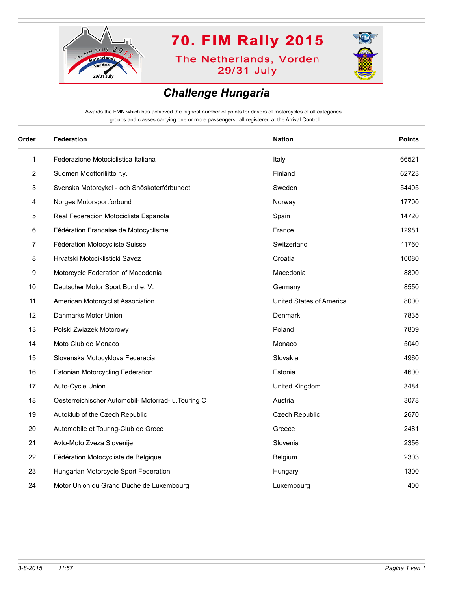

**The Netherlands, Vorden** 29/31 July



### *Challenge Hungaria*

Awards the FMN which has achieved the highest number of points for drivers of motorcycles of all categories , groups and classes carrying one or more passengers, all registered at the Arrival Control

| Order | Federation                                          | <b>Nation</b>            | <b>Points</b> |
|-------|-----------------------------------------------------|--------------------------|---------------|
| 1     | Federazione Motociclistica Italiana                 | Italy                    | 66521         |
| 2     | Suomen Moottoriliitto r.y.                          | Finland                  | 62723         |
| 3     | Svenska Motorcykel - och Snöskoterförbundet         | Sweden                   | 54405         |
| 4     | Norges Motorsportforbund                            | Norway                   | 17700         |
| 5     | Real Federacion Motociclista Espanola               | Spain                    | 14720         |
| 6     | Fédération Francaise de Motocyclisme                | France                   | 12981         |
| 7     | Fédération Motocycliste Suisse                      | Switzerland              | 11760         |
| 8     | Hrvatski Motociklisticki Savez                      | Croatia                  | 10080         |
| 9     | Motorcycle Federation of Macedonia                  | Macedonia                | 8800          |
| 10    | Deutscher Motor Sport Bund e. V.                    | Germany                  | 8550          |
| 11    | American Motorcyclist Association                   | United States of America | 8000          |
| 12    | Danmarks Motor Union                                | Denmark                  | 7835          |
| 13    | Polski Zwiazek Motorowy                             | Poland                   | 7809          |
| 14    | Moto Club de Monaco                                 | Monaco                   | 5040          |
| 15    | Slovenska Motocyklova Federacia                     | Slovakia                 | 4960          |
| 16    | <b>Estonian Motorcycling Federation</b>             | Estonia                  | 4600          |
| 17    | Auto-Cycle Union                                    | United Kingdom           | 3484          |
| 18    | Oesterreichischer Automobil- Motorrad- u. Touring C | Austria                  | 3078          |
| 19    | Autoklub of the Czech Republic                      | <b>Czech Republic</b>    | 2670          |
| 20    | Automobile et Touring-Club de Grece                 | Greece                   | 2481          |
| 21    | Avto-Moto Zveza Slovenije                           | Slovenia                 | 2356          |
| 22    | Fédération Motocycliste de Belgique                 | Belgium                  | 2303          |
| 23    | Hungarian Motorcycle Sport Federation               | Hungary                  | 1300          |
| 24    | Motor Union du Grand Duché de Luxembourg            | Luxembourg               | 400           |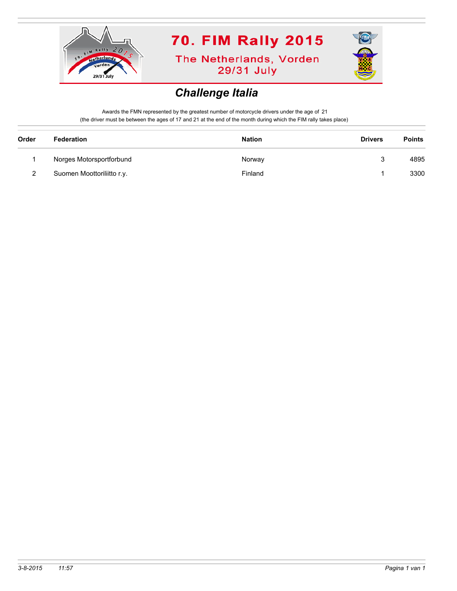

**The Netherlands, Vorden** 29/31 July



### *Challenge Italia*

Awards the FMN represented by the greatest number of motorcycle drivers under the age of 21 (the driver must be between the ages of 17 and 21 at the end of the month during which the FIM rally takes place)

| Order | Federation                 | <b>Nation</b> | <b>Drivers</b> | <b>Points</b> |
|-------|----------------------------|---------------|----------------|---------------|
|       | Norges Motorsportforbund   | Norway        |                | 4895          |
| 2     | Suomen Moottoriliitto r.y. | Finland       |                | 3300          |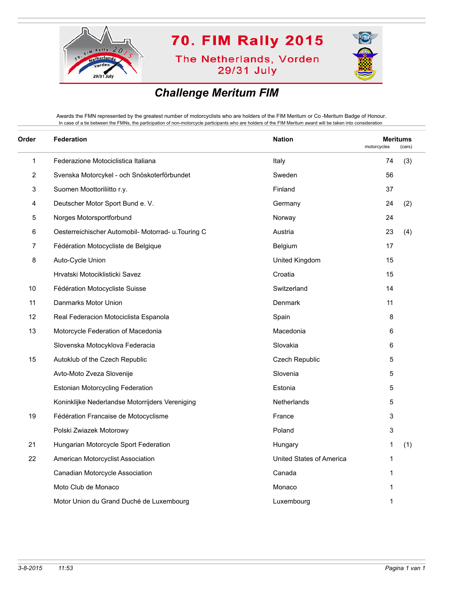

**The Netherlands, Vorden** 29/31 July



### *Challenge Meritum FIM*

Awards the FMN represented by the greatest number of motorcyclists who are holders of the FIM Meritum or Co -Meritum Badge of Honour. In case of a tie between the FMNs, the participation of non-motorcycle participants who are holders of the FIM Meritum award will be taken into consideration

| Order | <b>Federation</b>                                   | <b>Nation</b>            | motorcycles | <b>Meritums</b><br>(cars) |  |
|-------|-----------------------------------------------------|--------------------------|-------------|---------------------------|--|
| 1     | Federazione Motociclistica Italiana                 | Italy                    | 74          | (3)                       |  |
| 2     | Svenska Motorcykel - och Snöskoterförbundet         | Sweden                   | 56          |                           |  |
| 3     | Suomen Moottoriliitto r.y.                          | Finland                  | 37          |                           |  |
| 4     | Deutscher Motor Sport Bund e. V.                    | Germany                  | 24          | (2)                       |  |
| 5     | Norges Motorsportforbund                            | Norway                   | 24          |                           |  |
| 6     | Oesterreichischer Automobil- Motorrad- u. Touring C | Austria                  | 23          | (4)                       |  |
| 7     | Fédération Motocycliste de Belgique                 | Belgium                  | 17          |                           |  |
| 8     | Auto-Cycle Union                                    | United Kingdom           | 15          |                           |  |
|       | Hrvatski Motociklisticki Savez                      | Croatia                  | 15          |                           |  |
| 10    | Fédération Motocycliste Suisse                      | Switzerland              | 14          |                           |  |
| 11    | Danmarks Motor Union                                | Denmark                  | 11          |                           |  |
| 12    | Real Federacion Motociclista Espanola               | Spain                    | 8           |                           |  |
| 13    | Motorcycle Federation of Macedonia                  | Macedonia                | 6           |                           |  |
|       | Slovenska Motocyklova Federacia                     | Slovakia                 | 6           |                           |  |
| 15    | Autoklub of the Czech Republic                      | Czech Republic           | 5           |                           |  |
|       | Avto-Moto Zveza Slovenije                           | Slovenia                 | 5           |                           |  |
|       | Estonian Motorcycling Federation                    | Estonia                  | 5           |                           |  |
|       | Koninklijke Nederlandse Motorrijders Vereniging     | <b>Netherlands</b>       | 5           |                           |  |
| 19    | Fédération Francaise de Motocyclisme                | France                   | 3           |                           |  |
|       | Polski Zwiazek Motorowy                             | Poland                   | 3           |                           |  |
| 21    | Hungarian Motorcycle Sport Federation               | Hungary                  | 1           | (1)                       |  |
| 22    | American Motorcyclist Association                   | United States of America | 1           |                           |  |
|       | Canadian Motorcycle Association                     | Canada                   | 1           |                           |  |
|       | Moto Club de Monaco                                 | Monaco                   | 1           |                           |  |
|       | Motor Union du Grand Duché de Luxembourg            | Luxembourg               | 1           |                           |  |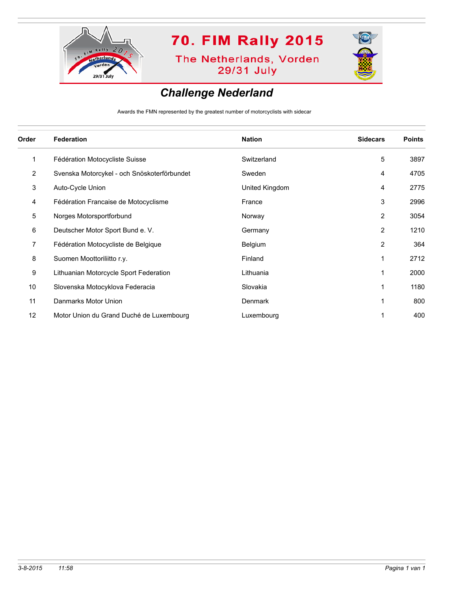

**The Netherlands, Vorden** 29/31 July



#### *Challenge Nederland*

Awards the FMN represented by the greatest number of motorcyclists with sidecar

| Order          | <b>Federation</b>                           | <b>Nation</b>  | <b>Sidecars</b> | <b>Points</b> |
|----------------|---------------------------------------------|----------------|-----------------|---------------|
| 1              | Fédération Motocycliste Suisse              | Switzerland    | 5               | 3897          |
| 2              | Svenska Motorcykel - och Snöskoterförbundet | Sweden         | 4               | 4705          |
| 3              | Auto-Cycle Union                            | United Kingdom | 4               | 2775          |
| 4              | Fédération Francaise de Motocyclisme        | France         | 3               | 2996          |
| 5              | Norges Motorsportforbund                    | Norway         | 2               | 3054          |
| 6              | Deutscher Motor Sport Bund e. V.            | Germany        | 2               | 1210          |
| $\overline{7}$ | Fédération Motocycliste de Belgique         | Belgium        | 2               | 364           |
| 8              | Suomen Moottoriliitto r.y.                  | Finland        | 1               | 2712          |
| 9              | Lithuanian Motorcycle Sport Federation      | Lithuania      | 1               | 2000          |
| 10             | Slovenska Motocyklova Federacia             | Slovakia       | 1               | 1180          |
| 11             | Danmarks Motor Union                        | <b>Denmark</b> | 1               | 800           |
| 12             | Motor Union du Grand Duché de Luxembourg    | Luxembourg     |                 | 400           |
|                |                                             |                |                 |               |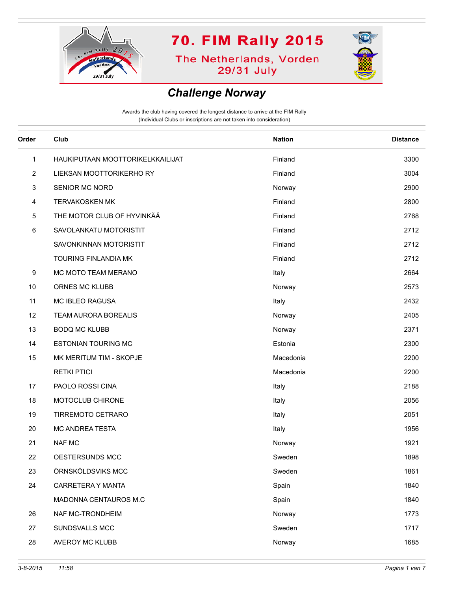

**The Netherlands, Vorden** 29/31 July



#### *Challenge Norway*

| Order          | Club                             | <b>Nation</b> | <b>Distance</b> |
|----------------|----------------------------------|---------------|-----------------|
| 1              | HAUKIPUTAAN MOOTTORIKELKKAILIJAT | Finland       | 3300            |
| $\overline{2}$ | LIEKSAN MOOTTORIKERHO RY         | Finland       | 3004            |
| 3              | SENIOR MC NORD                   | Norway        | 2900            |
| 4              | <b>TERVAKOSKEN MK</b>            | Finland       | 2800            |
| 5              | THE MOTOR CLUB OF HYVINKÄÄ       | Finland       | 2768            |
| 6              | SAVOLANKATU MOTORISTIT           | Finland       | 2712            |
|                | SAVONKINNAN MOTORISTIT           | Finland       | 2712            |
|                | <b>TOURING FINLANDIA MK</b>      | Finland       | 2712            |
| 9              | MC MOTO TEAM MERANO              | Italy         | 2664            |
| 10             | ORNES MC KLUBB                   | Norway        | 2573            |
| 11             | MC IBLEO RAGUSA                  | Italy         | 2432            |
| 12             | TEAM AURORA BOREALIS             | Norway        | 2405            |
| 13             | <b>BODQ MC KLUBB</b>             | Norway        | 2371            |
| 14             | <b>ESTONIAN TOURING MC</b>       | Estonia       | 2300            |
| 15             | MK MERITUM TIM - SKOPJE          | Macedonia     | 2200            |
|                | <b>RETKI PTICI</b>               | Macedonia     | 2200            |
| 17             | PAOLO ROSSI CINA                 | Italy         | 2188            |
| 18             | MOTOCLUB CHIRONE                 | Italy         | 2056            |
| 19             | TIRREMOTO CETRARO                | Italy         | 2051            |
| 20             | MC ANDREA TESTA                  | Italy         | 1956            |
| 21             | <b>NAF MC</b>                    | Norway        | 1921            |
| 22             | OESTERSUNDS MCC                  | Sweden        | 1898            |
| 23             | ÖRNSKÖLDSVIKS MCC                | Sweden        | 1861            |
| 24             | CARRETERA Y MANTA                | Spain         | 1840            |
|                | MADONNA CENTAUROS M.C            | Spain         | 1840            |
| 26             | NAF MC-TRONDHEIM                 | Norway        | 1773            |
| 27             | SUNDSVALLS MCC                   | Sweden        | 1717            |
| 28             | AVEROY MC KLUBB                  | Norway        | 1685            |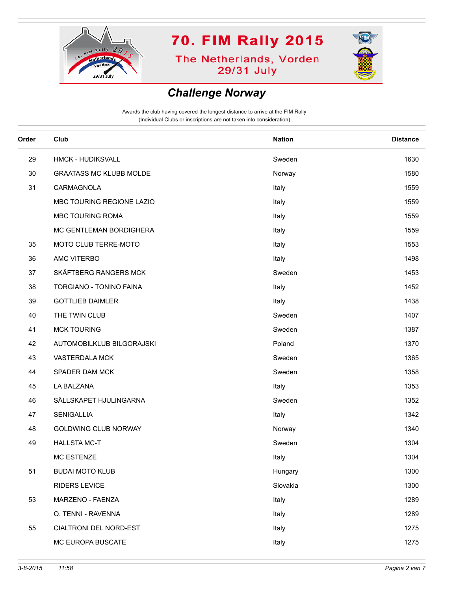

**The Netherlands, Vorden** 29/31 July



### *Challenge Norway*

| Order | Club                           | <b>Nation</b> | <b>Distance</b> |
|-------|--------------------------------|---------------|-----------------|
| 29    | <b>HMCK - HUDIKSVALL</b>       | Sweden        | 1630            |
| 30    | <b>GRAATASS MC KLUBB MOLDE</b> | Norway        | 1580            |
| 31    | CARMAGNOLA                     | Italy         | 1559            |
|       | MBC TOURING REGIONE LAZIO      | Italy         | 1559            |
|       | MBC TOURING ROMA               | Italy         | 1559            |
|       | MC GENTLEMAN BORDIGHERA        | Italy         | 1559            |
| 35    | MOTO CLUB TERRE-MOTO           | Italy         | 1553            |
| 36    | AMC VITERBO                    | Italy         | 1498            |
| 37    | SKÄFTBERG RANGERS MCK          | Sweden        | 1453            |
| 38    | TORGIANO - TONINO FAINA        | Italy         | 1452            |
| 39    | <b>GOTTLIEB DAIMLER</b>        | Italy         | 1438            |
| 40    | THE TWIN CLUB                  | Sweden        | 1407            |
| 41    | <b>MCK TOURING</b>             | Sweden        | 1387            |
| 42    | AUTOMOBILKLUB BILGORAJSKI      | Poland        | 1370            |
| 43    | VASTERDALA MCK                 | Sweden        | 1365            |
| 44    | SPADER DAM MCK                 | Sweden        | 1358            |
| 45    | LA BALZANA                     | Italy         | 1353            |
| 46    | SÄLLSKAPET HJULINGARNA         | Sweden        | 1352            |
| 47    | SENIGALLIA                     | Italy         | 1342            |
| 48    | <b>GOLDWING CLUB NORWAY</b>    | Norway        | 1340            |
| 49    | <b>HALLSTA MC-T</b>            | Sweden        | 1304            |
|       | <b>MC ESTENZE</b>              | Italy         | 1304            |
| 51    | <b>BUDAI MOTO KLUB</b>         | Hungary       | 1300            |
|       | RIDERS LEVICE                  | Slovakia      | 1300            |
| 53    | MARZENO - FAENZA               | Italy         | 1289            |
|       | O. TENNI - RAVENNA             | Italy         | 1289            |
| 55    | CIALTRONI DEL NORD-EST         | Italy         | 1275            |
|       | MC EUROPA BUSCATE              | Italy         | 1275            |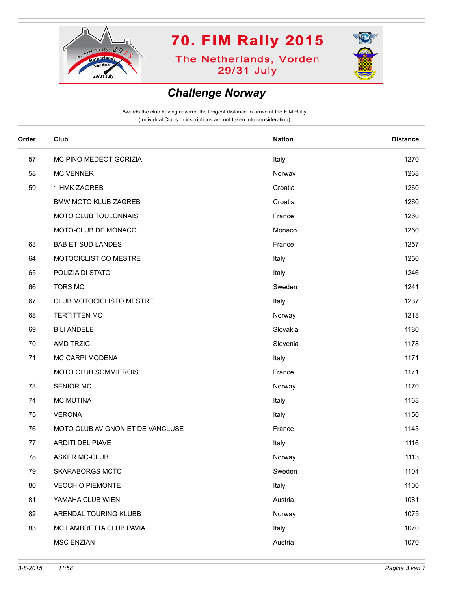

**The Netherlands, Vorden** 29/31 July



#### *Challenge Norway*

| Order | Club                             | <b>Nation</b> | <b>Distance</b> |
|-------|----------------------------------|---------------|-----------------|
| 57    | MC PINO MEDEOT GORIZIA           | Italy         | 1270            |
| 58    | <b>MC VENNER</b>                 | Norway        | 1268            |
| 59    | 1 HMK ZAGREB                     | Croatia       | 1260            |
|       | <b>BMW MOTO KLUB ZAGREB</b>      | Croatia       | 1260            |
|       | MOTO CLUB TOULONNAIS             | France        | 1260            |
|       | MOTO-CLUB DE MONACO              | Monaco        | 1260            |
| 63    | <b>BAB ET SUD LANDES</b>         | France        | 1257            |
| 64    | MOTOCICLISTICO MESTRE            | Italy         | 1250            |
| 65    | POLIZIA DI STATO                 | Italy         | 1246            |
| 66    | <b>TORS MC</b>                   | Sweden        | 1241            |
| 67    | CLUB MOTOCICLISTO MESTRE         | Italy         | 1237            |
| 68    | <b>TERTITTEN MC</b>              | Norway        | 1218            |
| 69    | <b>BILI ANDELE</b>               | Slovakia      | 1180            |
| 70    | AMD TRZIC                        | Slovenia      | 1178            |
| 71    | MC CARPI MODENA                  | Italy         | 1171            |
|       | MOTO CLUB SOMMIEROIS             | France        | 1171            |
| 73    | SENIOR MC                        | Norway        | 1170            |
| 74    | <b>MC MUTINA</b>                 | Italy         | 1168            |
| 75    | <b>VERONA</b>                    | Italy         | 1150            |
| 76    | MOTO CLUB AVIGNON ET DE VANCLUSE | France        | 1143            |
| 77    | <b>ARDITI DEL PIAVE</b>          | Italy         | 1116            |
| 78    | <b>ASKER MC-CLUB</b>             | Norway        | 1113            |
| 79    | <b>SKARABORGS MCTC</b>           | Sweden        | 1104            |
| 80    | <b>VECCHIO PIEMONTE</b>          | Italy         | 1100            |
| 81    | YAMAHA CLUB WIEN                 | Austria       | 1081            |
| 82    | ARENDAL TOURING KLUBB            | Norway        | 1075            |
| 83    | MC LAMBRETTA CLUB PAVIA          | Italy         | 1070            |
|       | <b>MSC ENZIAN</b>                | Austria       | 1070            |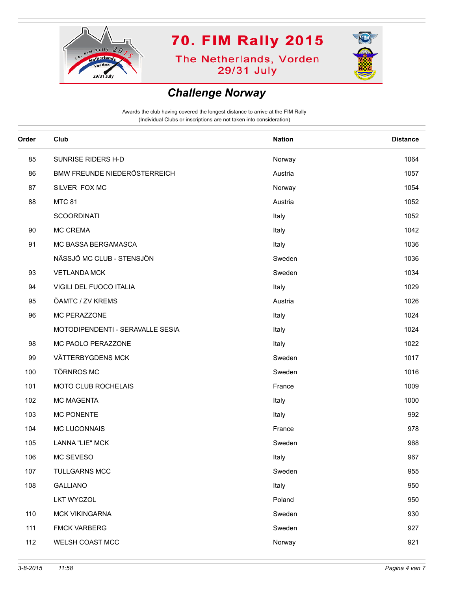

**The Netherlands, Vorden** 29/31 July



#### *Challenge Norway*

| Order | Club                             | <b>Nation</b> | <b>Distance</b> |
|-------|----------------------------------|---------------|-----------------|
| 85    | SUNRISE RIDERS H-D               | Norway        | 1064            |
| 86    | BMW FREUNDE NIEDERÖSTERREICH     | Austria       | 1057            |
| 87    | SILVER FOX MC                    | Norway        | 1054            |
| 88    | <b>MTC 81</b>                    | Austria       | 1052            |
|       | <b>SCOORDINATI</b>               | Italy         | 1052            |
| 90    | <b>MC CREMA</b>                  | Italy         | 1042            |
| 91    | MC BASSA BERGAMASCA              | Italy         | 1036            |
|       | NÄSSJÖ MC CLUB - STENSJÖN        | Sweden        | 1036            |
| 93    | <b>VETLANDA MCK</b>              | Sweden        | 1034            |
| 94    | VIGILI DEL FUOCO ITALIA          | Italy         | 1029            |
| 95    | ÖAMTC / ZV KREMS                 | Austria       | 1026            |
| 96    | MC PERAZZONE                     | Italy         | 1024            |
|       | MOTODIPENDENTI - SERAVALLE SESIA | Italy         | 1024            |
| 98    | MC PAOLO PERAZZONE               | Italy         | 1022            |
| 99    | VÄTTERBYGDENS MCK                | Sweden        | 1017            |
| 100   | <b>TÖRNROS MC</b>                | Sweden        | 1016            |
| 101   | MOTO CLUB ROCHELAIS              | France        | 1009            |
| 102   | <b>MC MAGENTA</b>                | Italy         | 1000            |
| 103   | <b>MC PONENTE</b>                | Italy         | 992             |
| 104   | MC LUCONNAIS                     | France        | 978             |
| 105   | <b>LANNA "LIE" MCK</b>           | Sweden        | 968             |
| 106   | MC SEVESO                        | Italy         | 967             |
| 107   | <b>TULLGARNS MCC</b>             | Sweden        | 955             |
| 108   | <b>GALLIANO</b>                  | Italy         | 950             |
|       | <b>LKT WYCZOL</b>                | Poland        | 950             |
| 110   | <b>MCK VIKINGARNA</b>            | Sweden        | 930             |
| 111   | <b>FMCK VARBERG</b>              | Sweden        | 927             |
| 112   | WELSH COAST MCC                  | Norway        | 921             |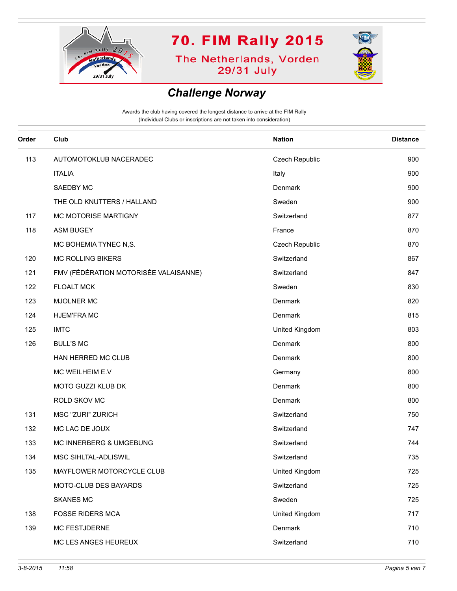

**The Netherlands, Vorden** 29/31 July



#### *Challenge Norway*

| Order<br>Club<br><b>Nation</b><br>113<br>AUTOMOTOKLUB NACERADEC<br>Czech Republic<br><b>ITALIA</b><br>Italy<br>Denmark<br>SAEDBY MC<br>THE OLD KNUTTERS / HALLAND<br>Sweden<br>117<br>MC MOTORISE MARTIGNY<br>Switzerland<br>118<br><b>ASM BUGEY</b><br>France<br>MC BOHEMIA TYNEC N,S.<br>Czech Republic<br><b>MC ROLLING BIKERS</b><br>Switzerland<br>120<br>FMV (FÉDÉRATION MOTORISÉE VALAISANNE)<br>121<br>Switzerland<br>122<br><b>FLOALT MCK</b><br>Sweden<br>123<br><b>MJOLNER MC</b><br>Denmark<br>124<br><b>HJEM'FRAMC</b><br>Denmark<br>125<br><b>IMTC</b><br>United Kingdom<br>Denmark<br>126<br><b>BULL'S MC</b><br>HAN HERRED MC CLUB<br>Denmark<br>MC WEILHEIM E.V<br>Germany<br>Denmark<br>MOTO GUZZI KLUB DK<br>ROLD SKOV MC<br>Denmark<br>131<br>MSC "ZURI" ZURICH<br>Switzerland<br>MC LAC DE JOUX<br>132<br>Switzerland<br>133<br>MC INNERBERG & UMGEBUNG<br>Switzerland<br>134<br>MSC SIHLTAL-ADLISWIL<br>Switzerland<br>135<br>MAYFLOWER MOTORCYCLE CLUB<br>United Kingdom<br>MOTO-CLUB DES BAYARDS<br>Switzerland<br><b>SKANES MC</b><br>Sweden<br><b>FOSSE RIDERS MCA</b><br>United Kingdom<br>138<br>Denmark<br>139<br>MC FESTJDERNE<br>MC LES ANGES HEUREUX<br>Switzerland |  |                 |
|-----------------------------------------------------------------------------------------------------------------------------------------------------------------------------------------------------------------------------------------------------------------------------------------------------------------------------------------------------------------------------------------------------------------------------------------------------------------------------------------------------------------------------------------------------------------------------------------------------------------------------------------------------------------------------------------------------------------------------------------------------------------------------------------------------------------------------------------------------------------------------------------------------------------------------------------------------------------------------------------------------------------------------------------------------------------------------------------------------------------------------------------------------------------------------------------------------|--|-----------------|
|                                                                                                                                                                                                                                                                                                                                                                                                                                                                                                                                                                                                                                                                                                                                                                                                                                                                                                                                                                                                                                                                                                                                                                                                     |  | <b>Distance</b> |
|                                                                                                                                                                                                                                                                                                                                                                                                                                                                                                                                                                                                                                                                                                                                                                                                                                                                                                                                                                                                                                                                                                                                                                                                     |  | 900             |
|                                                                                                                                                                                                                                                                                                                                                                                                                                                                                                                                                                                                                                                                                                                                                                                                                                                                                                                                                                                                                                                                                                                                                                                                     |  | 900             |
|                                                                                                                                                                                                                                                                                                                                                                                                                                                                                                                                                                                                                                                                                                                                                                                                                                                                                                                                                                                                                                                                                                                                                                                                     |  | 900             |
|                                                                                                                                                                                                                                                                                                                                                                                                                                                                                                                                                                                                                                                                                                                                                                                                                                                                                                                                                                                                                                                                                                                                                                                                     |  | 900             |
|                                                                                                                                                                                                                                                                                                                                                                                                                                                                                                                                                                                                                                                                                                                                                                                                                                                                                                                                                                                                                                                                                                                                                                                                     |  | 877             |
|                                                                                                                                                                                                                                                                                                                                                                                                                                                                                                                                                                                                                                                                                                                                                                                                                                                                                                                                                                                                                                                                                                                                                                                                     |  | 870             |
|                                                                                                                                                                                                                                                                                                                                                                                                                                                                                                                                                                                                                                                                                                                                                                                                                                                                                                                                                                                                                                                                                                                                                                                                     |  | 870             |
|                                                                                                                                                                                                                                                                                                                                                                                                                                                                                                                                                                                                                                                                                                                                                                                                                                                                                                                                                                                                                                                                                                                                                                                                     |  | 867             |
|                                                                                                                                                                                                                                                                                                                                                                                                                                                                                                                                                                                                                                                                                                                                                                                                                                                                                                                                                                                                                                                                                                                                                                                                     |  | 847             |
|                                                                                                                                                                                                                                                                                                                                                                                                                                                                                                                                                                                                                                                                                                                                                                                                                                                                                                                                                                                                                                                                                                                                                                                                     |  | 830             |
|                                                                                                                                                                                                                                                                                                                                                                                                                                                                                                                                                                                                                                                                                                                                                                                                                                                                                                                                                                                                                                                                                                                                                                                                     |  | 820             |
|                                                                                                                                                                                                                                                                                                                                                                                                                                                                                                                                                                                                                                                                                                                                                                                                                                                                                                                                                                                                                                                                                                                                                                                                     |  | 815             |
|                                                                                                                                                                                                                                                                                                                                                                                                                                                                                                                                                                                                                                                                                                                                                                                                                                                                                                                                                                                                                                                                                                                                                                                                     |  | 803             |
|                                                                                                                                                                                                                                                                                                                                                                                                                                                                                                                                                                                                                                                                                                                                                                                                                                                                                                                                                                                                                                                                                                                                                                                                     |  | 800             |
|                                                                                                                                                                                                                                                                                                                                                                                                                                                                                                                                                                                                                                                                                                                                                                                                                                                                                                                                                                                                                                                                                                                                                                                                     |  | 800             |
|                                                                                                                                                                                                                                                                                                                                                                                                                                                                                                                                                                                                                                                                                                                                                                                                                                                                                                                                                                                                                                                                                                                                                                                                     |  | 800             |
|                                                                                                                                                                                                                                                                                                                                                                                                                                                                                                                                                                                                                                                                                                                                                                                                                                                                                                                                                                                                                                                                                                                                                                                                     |  | 800             |
|                                                                                                                                                                                                                                                                                                                                                                                                                                                                                                                                                                                                                                                                                                                                                                                                                                                                                                                                                                                                                                                                                                                                                                                                     |  | 800             |
|                                                                                                                                                                                                                                                                                                                                                                                                                                                                                                                                                                                                                                                                                                                                                                                                                                                                                                                                                                                                                                                                                                                                                                                                     |  | 750             |
|                                                                                                                                                                                                                                                                                                                                                                                                                                                                                                                                                                                                                                                                                                                                                                                                                                                                                                                                                                                                                                                                                                                                                                                                     |  | 747             |
|                                                                                                                                                                                                                                                                                                                                                                                                                                                                                                                                                                                                                                                                                                                                                                                                                                                                                                                                                                                                                                                                                                                                                                                                     |  | 744             |
|                                                                                                                                                                                                                                                                                                                                                                                                                                                                                                                                                                                                                                                                                                                                                                                                                                                                                                                                                                                                                                                                                                                                                                                                     |  | 735             |
|                                                                                                                                                                                                                                                                                                                                                                                                                                                                                                                                                                                                                                                                                                                                                                                                                                                                                                                                                                                                                                                                                                                                                                                                     |  | 725             |
|                                                                                                                                                                                                                                                                                                                                                                                                                                                                                                                                                                                                                                                                                                                                                                                                                                                                                                                                                                                                                                                                                                                                                                                                     |  | 725             |
|                                                                                                                                                                                                                                                                                                                                                                                                                                                                                                                                                                                                                                                                                                                                                                                                                                                                                                                                                                                                                                                                                                                                                                                                     |  | 725             |
|                                                                                                                                                                                                                                                                                                                                                                                                                                                                                                                                                                                                                                                                                                                                                                                                                                                                                                                                                                                                                                                                                                                                                                                                     |  | 717             |
|                                                                                                                                                                                                                                                                                                                                                                                                                                                                                                                                                                                                                                                                                                                                                                                                                                                                                                                                                                                                                                                                                                                                                                                                     |  | 710             |
|                                                                                                                                                                                                                                                                                                                                                                                                                                                                                                                                                                                                                                                                                                                                                                                                                                                                                                                                                                                                                                                                                                                                                                                                     |  | 710             |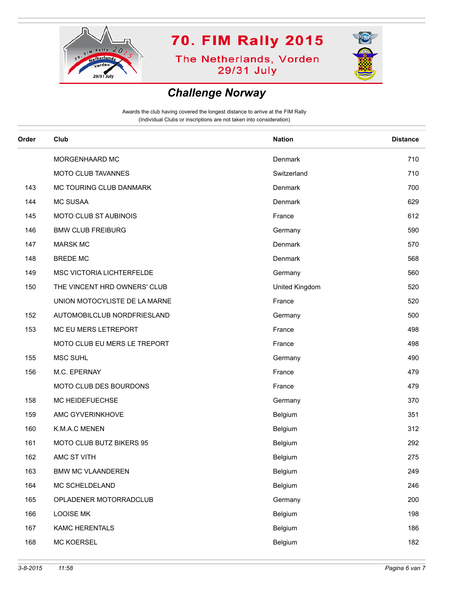

**The Netherlands, Vorden** 29/31 July



#### *Challenge Norway*

| Order | Club                          | <b>Nation</b>  | <b>Distance</b> |
|-------|-------------------------------|----------------|-----------------|
|       | MORGENHAARD MC                | Denmark        | 710             |
|       | MOTO CLUB TAVANNES            | Switzerland    | 710             |
| 143   | MC TOURING CLUB DANMARK       | Denmark        | 700             |
| 144   | <b>MC SUSAA</b>               | Denmark        | 629             |
| 145   | <b>MOTO CLUB ST AUBINOIS</b>  | France         | 612             |
| 146   | <b>BMW CLUB FREIBURG</b>      | Germany        | 590             |
| 147   | <b>MARSK MC</b>               | Denmark        | 570             |
| 148   | <b>BREDE MC</b>               | Denmark        | 568             |
| 149   | MSC VICTORIA LICHTERFELDE     | Germany        | 560             |
| 150   | THE VINCENT HRD OWNERS' CLUB  | United Kingdom | 520             |
|       | UNION MOTOCYLISTE DE LA MARNE | France         | 520             |
| 152   | AUTOMOBILCLUB NORDFRIESLAND   | Germany        | 500             |
| 153   | MC EU MERS LETREPORT          | France         | 498             |
|       | MOTO CLUB EU MERS LE TREPORT  | France         | 498             |
| 155   | <b>MSC SUHL</b>               | Germany        | 490             |
| 156   | M.C. EPERNAY                  | France         | 479             |
|       | MOTO CLUB DES BOURDONS        | France         | 479             |
| 158   | MC HEIDEFUECHSE               | Germany        | 370             |
| 159   | AMC GYVERINKHOVE              | Belgium        | 351             |
| 160   | K.M.A.C MENEN                 | Belgium        | 312             |
| 161   | MOTO CLUB BUTZ BIKERS 95      | Belgium        | 292             |
| 162   | AMC ST VITH                   | Belgium        | 275             |
| 163   | <b>BMW MC VLAANDEREN</b>      | Belgium        | 249             |
| 164   | MC SCHELDELAND                | Belgium        | 246             |
| 165   | OPLADENER MOTORRADCLUB        | Germany        | 200             |
| 166   | <b>LOOISE MK</b>              | Belgium        | 198             |
| 167   | KAMC HERENTALS                | Belgium        | 186             |
| 168   | <b>MC KOERSEL</b>             | Belgium        | 182             |
|       |                               |                |                 |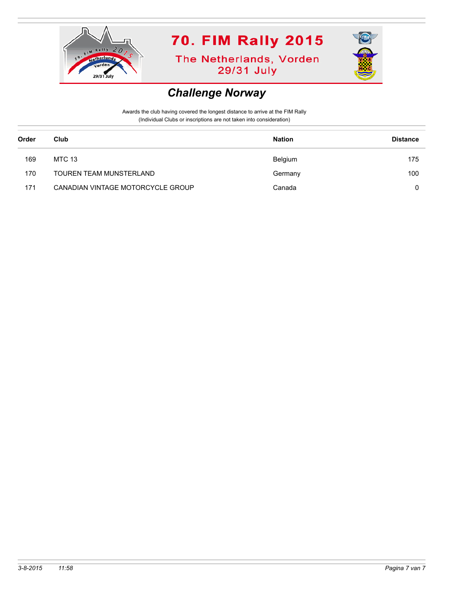

**The Netherlands, Vorden** 29/31 July



#### *Challenge Norway*

| Order | Club                              | <b>Nation</b> | <b>Distance</b> |
|-------|-----------------------------------|---------------|-----------------|
| 169   | MTC 13                            | Belgium       | 175             |
| 170   | TOUREN TEAM MUNSTERLAND           | Germany       | 100             |
| 171   | CANADIAN VINTAGE MOTORCYCLE GROUP | Canada        | 0               |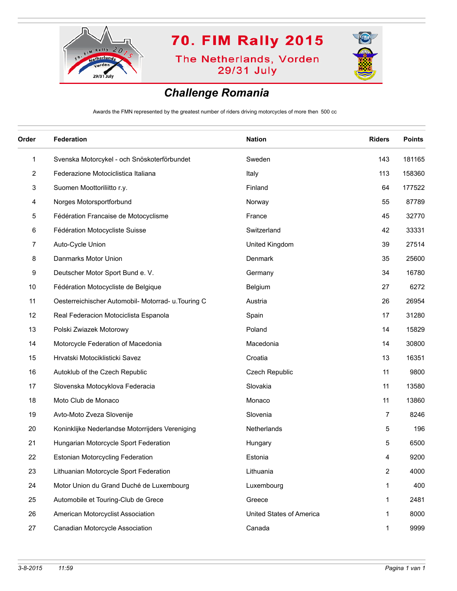

**The Netherlands, Vorden** 29/31 July



### *Challenge Romania*

Awards the FMN represented by the greatest number of riders driving motorcycles of more then 500 cc

| Order | <b>Federation</b>                                   | <b>Nation</b>            | <b>Riders</b>  | <b>Points</b> |
|-------|-----------------------------------------------------|--------------------------|----------------|---------------|
| 1     | Svenska Motorcykel - och Snöskoterförbundet         | Sweden                   | 143            | 181165        |
| 2     | Federazione Motociclistica Italiana                 | Italy                    | 113            | 158360        |
| 3     | Suomen Moottoriliitto r.y.                          | Finland                  | 64             | 177522        |
| 4     | Norges Motorsportforbund                            | Norway                   | 55             | 87789         |
| 5     | Fédération Francaise de Motocyclisme                | France                   | 45             | 32770         |
| 6     | Fédération Motocycliste Suisse                      | Switzerland              | 42             | 33331         |
| 7     | Auto-Cycle Union                                    | United Kingdom           | 39             | 27514         |
| 8     | Danmarks Motor Union                                | Denmark                  | 35             | 25600         |
| 9     | Deutscher Motor Sport Bund e. V.                    | Germany                  | 34             | 16780         |
| 10    | Fédération Motocycliste de Belgique                 | Belgium                  | 27             | 6272          |
| 11    | Oesterreichischer Automobil- Motorrad- u. Touring C | Austria                  | 26             | 26954         |
| 12    | Real Federacion Motociclista Espanola               | Spain                    | 17             | 31280         |
| 13    | Polski Zwiazek Motorowy                             | Poland                   | 14             | 15829         |
| 14    | Motorcycle Federation of Macedonia                  | Macedonia                | 14             | 30800         |
| 15    | Hrvatski Motociklisticki Savez                      | Croatia                  | 13             | 16351         |
| 16    | Autoklub of the Czech Republic                      | Czech Republic           | 11             | 9800          |
| 17    | Slovenska Motocyklova Federacia                     | Slovakia                 | 11             | 13580         |
| 18    | Moto Club de Monaco                                 | Monaco                   | 11             | 13860         |
| 19    | Avto-Moto Zveza Slovenije                           | Slovenia                 | 7              | 8246          |
| 20    | Koninklijke Nederlandse Motorrijders Vereniging     | Netherlands              | 5              | 196           |
| 21    | Hungarian Motorcycle Sport Federation               | Hungary                  | 5              | 6500          |
| 22    | <b>Estonian Motorcycling Federation</b>             | Estonia                  | 4              | 9200          |
| 23    | Lithuanian Motorcycle Sport Federation              | Lithuania                | $\overline{2}$ | 4000          |
| 24    | Motor Union du Grand Duché de Luxembourg            | Luxembourg               | 1              | 400           |
| 25    | Automobile et Touring-Club de Grece                 | Greece                   | 1              | 2481          |
| 26    | American Motorcyclist Association                   | United States of America | 1              | 8000          |
| 27    | Canadian Motorcycle Association                     | Canada                   | 1              | 9999          |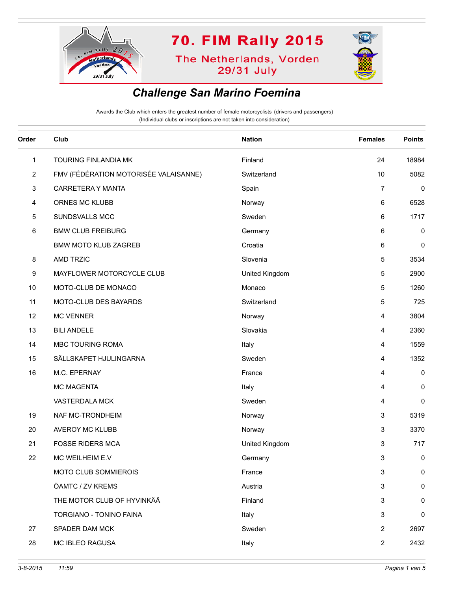

**The Netherlands, Vorden** 29/31 July



#### *Challenge San Marino Foemina*

| Order          | Club                                  | <b>Nation</b>  | <b>Females</b> | <b>Points</b> |
|----------------|---------------------------------------|----------------|----------------|---------------|
| $\mathbf{1}$   | TOURING FINLANDIA MK                  | Finland        | 24             | 18984         |
| $\overline{2}$ | FMV (FÉDÉRATION MOTORISÉE VALAISANNE) | Switzerland    | 10             | 5082          |
| 3              | CARRETERA Y MANTA                     | Spain          | $\overline{7}$ | 0             |
| 4              | ORNES MC KLUBB                        | Norway         | 6              | 6528          |
| 5              | SUNDSVALLS MCC                        | Sweden         | 6              | 1717          |
| 6              | <b>BMW CLUB FREIBURG</b>              | Germany        | 6              | 0             |
|                | <b>BMW MOTO KLUB ZAGREB</b>           | Croatia        | 6              | 0             |
| 8              | <b>AMD TRZIC</b>                      | Slovenia       | 5              | 3534          |
| 9              | MAYFLOWER MOTORCYCLE CLUB             | United Kingdom | 5              | 2900          |
| 10             | MOTO-CLUB DE MONACO                   | Monaco         | 5              | 1260          |
| 11             | MOTO-CLUB DES BAYARDS                 | Switzerland    | 5              | 725           |
| 12             | <b>MC VENNER</b>                      | Norway         | 4              | 3804          |
| 13             | <b>BILI ANDELE</b>                    | Slovakia       | 4              | 2360          |
| 14             | MBC TOURING ROMA                      | Italy          | 4              | 1559          |
| 15             | SÄLLSKAPET HJULINGARNA                | Sweden         | 4              | 1352          |
| 16             | M.C. EPERNAY                          | France         | 4              | 0             |
|                | MC MAGENTA                            | Italy          | 4              | 0             |
|                | VASTERDALA MCK                        | Sweden         | 4              | 0             |
| 19             | NAF MC-TRONDHEIM                      | Norway         | 3              | 5319          |
| 20             | AVEROY MC KLUBB                       | Norway         | 3              | 3370          |
| 21             | <b>FOSSE RIDERS MCA</b>               | United Kingdom | 3              | 717           |
| 22             | MC WEILHEIM E.V                       | Germany        | 3              | 0             |
|                | MOTO CLUB SOMMIEROIS                  | France         | 3              | 0             |
|                | ÖAMTC / ZV KREMS                      | Austria        | 3              | 0             |
|                | THE MOTOR CLUB OF HYVINKÄÄ            | Finland        | 3              | 0             |
|                | TORGIANO - TONINO FAINA               | Italy          | 3              | 0             |
| 27             | SPADER DAM MCK                        | Sweden         | 2              | 2697          |
| 28             | MC IBLEO RAGUSA                       | Italy          | $\overline{2}$ | 2432          |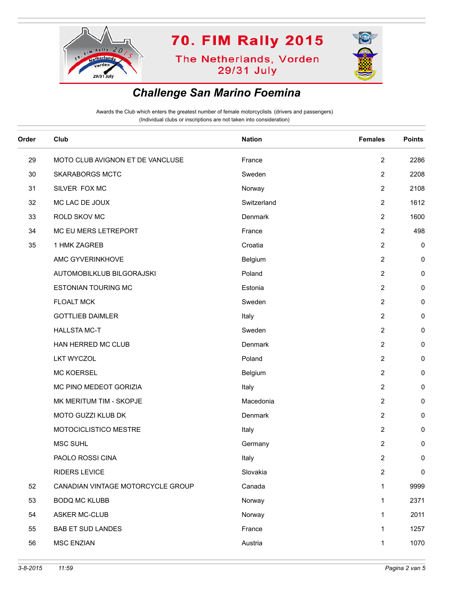

**The Netherlands, Vorden** 29/31 July



### *Challenge San Marino Foemina*

| Order | Club                              | <b>Nation</b> | <b>Females</b> | <b>Points</b> |
|-------|-----------------------------------|---------------|----------------|---------------|
| 29    | MOTO CLUB AVIGNON ET DE VANCLUSE  | France        | $\overline{2}$ | 2286          |
| 30    | <b>SKARABORGS MCTC</b>            | Sweden        | 2              | 2208          |
| 31    | SILVER FOX MC                     | Norway        | $\overline{2}$ | 2108          |
| 32    | MC LAC DE JOUX                    | Switzerland   | $\overline{2}$ | 1612          |
| 33    | ROLD SKOV MC                      | Denmark       | 2              | 1600          |
| 34    | MC EU MERS LETREPORT              | France        | $\overline{2}$ | 498           |
| 35    | 1 HMK ZAGREB                      | Croatia       | $\overline{2}$ | $\pmb{0}$     |
|       | AMC GYVERINKHOVE                  | Belgium       | 2              | 0             |
|       | AUTOMOBILKLUB BILGORAJSKI         | Poland        | $\overline{2}$ | 0             |
|       | <b>ESTONIAN TOURING MC</b>        | Estonia       | $\overline{2}$ | 0             |
|       | <b>FLOALT MCK</b>                 | Sweden        | $\overline{2}$ | 0             |
|       | <b>GOTTLIEB DAIMLER</b>           | Italy         | $\overline{2}$ | 0             |
|       | <b>HALLSTA MC-T</b>               | Sweden        | $\overline{2}$ | 0             |
|       | HAN HERRED MC CLUB                | Denmark       | $\overline{c}$ | 0             |
|       | <b>LKT WYCZOL</b>                 | Poland        | $\overline{2}$ | 0             |
|       | <b>MC KOERSEL</b>                 | Belgium       | $\overline{2}$ | 0             |
|       | MC PINO MEDEOT GORIZIA            | Italy         | 2              | 0             |
|       | MK MERITUM TIM - SKOPJE           | Macedonia     | $\overline{2}$ | 0             |
|       | MOTO GUZZI KLUB DK                | Denmark       | $\overline{2}$ | 0             |
|       | MOTOCICLISTICO MESTRE             | Italy         | 2              | 0             |
|       | MSC SUHL                          | Germany       | 2              | 0             |
|       | PAOLO ROSSI CINA                  | Italy         | $\overline{2}$ | 0             |
|       | <b>RIDERS LEVICE</b>              | Slovakia      | $\overline{c}$ | $\pmb{0}$     |
| 52    | CANADIAN VINTAGE MOTORCYCLE GROUP | Canada        | 1              | 9999          |
| 53    | <b>BODQ MC KLUBB</b>              | Norway        | 1              | 2371          |
| 54    | <b>ASKER MC-CLUB</b>              | Norway        | 1              | 2011          |
| 55    | <b>BAB ET SUD LANDES</b>          | France        | 1              | 1257          |
| 56    | <b>MSC ENZIAN</b>                 | Austria       | 1              | 1070          |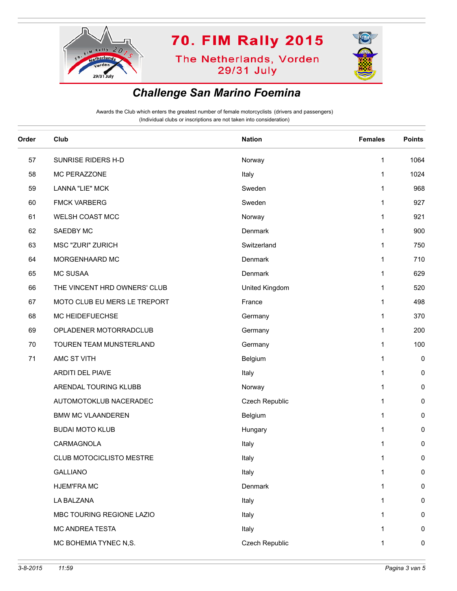

**The Netherlands, Vorden** 29/31 July



### *Challenge San Marino Foemina*

| Order | Club                         | <b>Nation</b>  | <b>Females</b> | <b>Points</b> |
|-------|------------------------------|----------------|----------------|---------------|
| 57    | SUNRISE RIDERS H-D           | Norway         | 1              | 1064          |
| 58    | MC PERAZZONE                 | Italy          | 1              | 1024          |
| 59    | <b>LANNA "LIE" MCK</b>       | Sweden         | 1              | 968           |
| 60    | <b>FMCK VARBERG</b>          | Sweden         | 1              | 927           |
| 61    | WELSH COAST MCC              | Norway         | 1              | 921           |
| 62    | SAEDBY MC                    | Denmark        | 1              | 900           |
| 63    | <b>MSC "ZURI" ZURICH</b>     | Switzerland    | 1              | 750           |
| 64    | MORGENHAARD MC               | Denmark        | 1              | 710           |
| 65    | <b>MC SUSAA</b>              | Denmark        | 1              | 629           |
| 66    | THE VINCENT HRD OWNERS' CLUB | United Kingdom | 1              | 520           |
| 67    | MOTO CLUB EU MERS LE TREPORT | France         | 1              | 498           |
| 68    | MC HEIDEFUECHSE              | Germany        | 1              | 370           |
| 69    | OPLADENER MOTORRADCLUB       | Germany        | 1              | 200           |
| 70    | TOUREN TEAM MUNSTERLAND      | Germany        | 1              | 100           |
| 71    | AMC ST VITH                  | Belgium        | 1              | 0             |
|       | ARDITI DEL PIAVE             | Italy          | 1              | 0             |
|       | ARENDAL TOURING KLUBB        | Norway         | 1              | 0             |
|       | AUTOMOTOKLUB NACERADEC       | Czech Republic | 1              | 0             |
|       | <b>BMW MC VLAANDEREN</b>     | Belgium        | 1              | 0             |
|       | <b>BUDAI MOTO KLUB</b>       | Hungary        | 1              | 0             |
|       | CARMAGNOLA                   | Italy          | 1              | 0             |
|       | CLUB MOTOCICLISTO MESTRE     | Italy          | 1              | 0             |
|       | <b>GALLIANO</b>              | Italy          | 1              | 0             |
|       | HJEM'FRA MC                  | Denmark        | 1              | 0             |
|       | LA BALZANA                   | Italy          | 1              | 0             |
|       | MBC TOURING REGIONE LAZIO    | Italy          | 1              | 0             |
|       | MC ANDREA TESTA              | Italy          | 1              | 0             |
|       | MC BOHEMIA TYNEC N,S.        | Czech Republic | 1              | $\pmb{0}$     |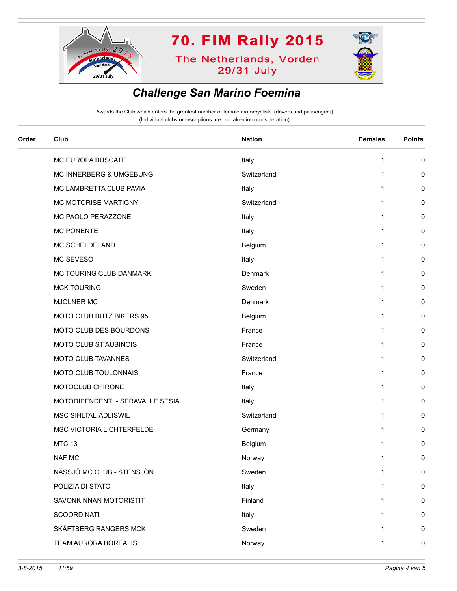

**The Netherlands, Vorden** 29/31 July



#### *Challenge San Marino Foemina*

| Order | Club                             | <b>Nation</b> | <b>Females</b> | <b>Points</b> |
|-------|----------------------------------|---------------|----------------|---------------|
|       | MC EUROPA BUSCATE                | Italy         | $\mathbf{1}$   | 0             |
|       | MC INNERBERG & UMGEBUNG          | Switzerland   | 1              | 0             |
|       | MC LAMBRETTA CLUB PAVIA          | Italy         | 1              | 0             |
|       | MC MOTORISE MARTIGNY             | Switzerland   | 1              | 0             |
|       | MC PAOLO PERAZZONE               | Italy         | 1              | 0             |
|       | <b>MC PONENTE</b>                | Italy         | 1              | 0             |
|       | MC SCHELDELAND                   | Belgium       | 1              | 0             |
|       | MC SEVESO                        | Italy         | 1              | 0             |
|       | MC TOURING CLUB DANMARK          | Denmark       | 1              | 0             |
|       | <b>MCK TOURING</b>               | Sweden        | 1              | 0             |
|       | MJOLNER MC                       | Denmark       | 1              | 0             |
|       | MOTO CLUB BUTZ BIKERS 95         | Belgium       | 1              | 0             |
|       | MOTO CLUB DES BOURDONS           | France        | 1              | 0             |
|       | <b>MOTO CLUB ST AUBINOIS</b>     | France        | 1              | 0             |
|       | MOTO CLUB TAVANNES               | Switzerland   | 1              | 0             |
|       | MOTO CLUB TOULONNAIS             | France        | 1              | 0             |
|       | MOTOCLUB CHIRONE                 | Italy         | 1              | 0             |
|       | MOTODIPENDENTI - SERAVALLE SESIA | Italy         | 1              | 0             |
|       | MSC SIHLTAL-ADLISWIL             | Switzerland   | 1              | 0             |
|       | MSC VICTORIA LICHTERFELDE        | Germany       | 1              | 0             |
|       | <b>MTC 13</b>                    | Belgium       | 1              | 0             |
|       | <b>NAF MC</b>                    | Norway        | 1              | 0             |
|       | NÄSSJÖ MC CLUB - STENSJÖN        | Sweden        | 1              | $\pmb{0}$     |
|       | POLIZIA DI STATO                 | Italy         | 1              | $\pmb{0}$     |
|       | SAVONKINNAN MOTORISTIT           | Finland       | 1              | 0             |
|       | <b>SCOORDINATI</b>               | Italy         | 1              | 0             |
|       | SKÄFTBERG RANGERS MCK            | Sweden        | 1              | $\pmb{0}$     |
|       | TEAM AURORA BOREALIS             | Norway        | 1              | $\pmb{0}$     |